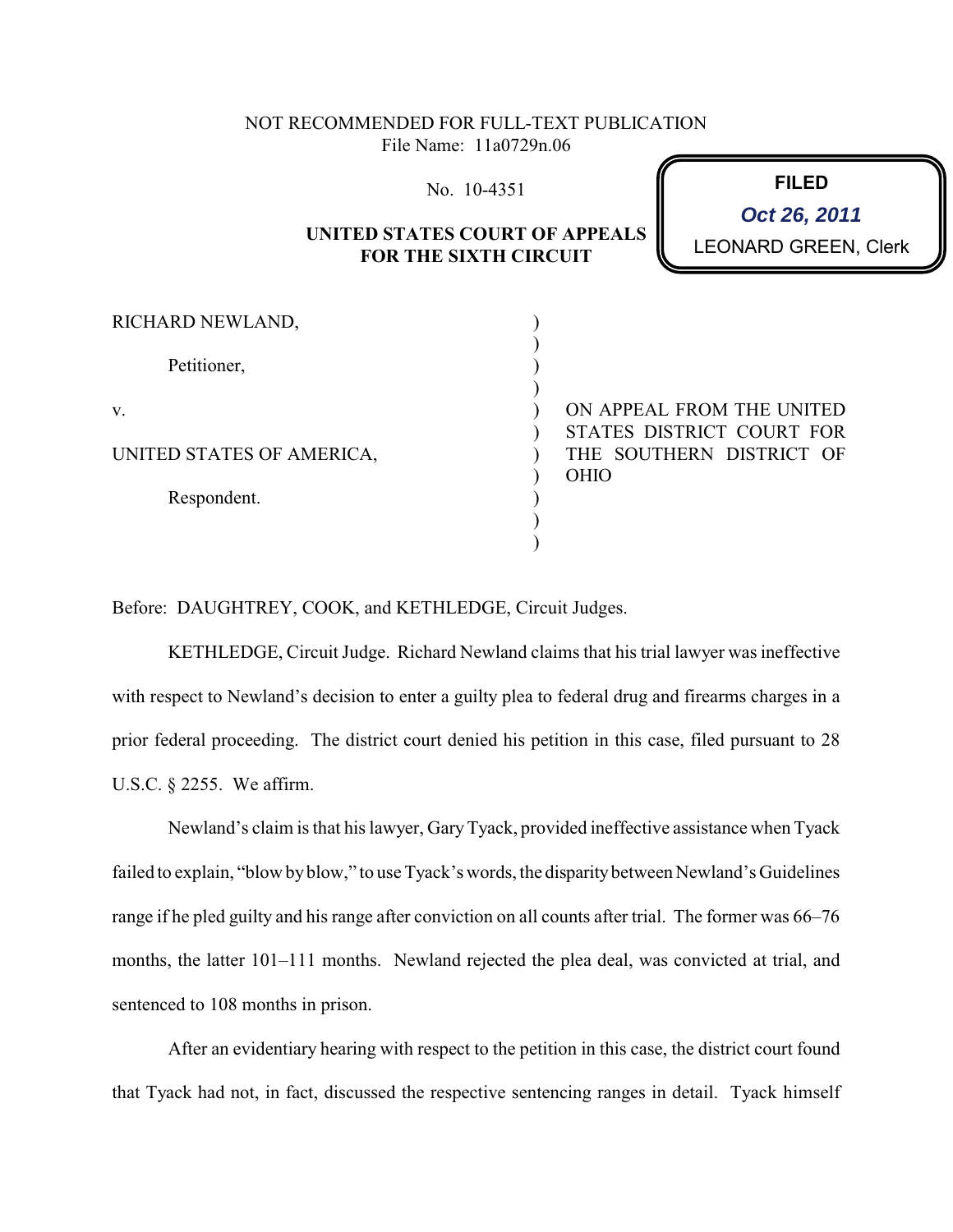## NOT RECOMMENDED FOR FULL-TEXT PUBLICATION File Name: 11a0729n.06

No. 10-4351

## **UNITED STATES COURT OF APPEALS FOR THE SIXTH CIRCUIT**

**FILED** LEONARD GREEN, Clerk **Oct 26, 2011**

| RICHARD NEWLAND,          |             |                           |
|---------------------------|-------------|---------------------------|
| Petitioner,               |             |                           |
|                           |             |                           |
| V.                        |             | ON APPEAL FROM THE UNITED |
|                           |             | STATES DISTRICT COURT FOR |
| UNITED STATES OF AMERICA, |             | THE SOUTHERN DISTRICT OF  |
|                           | <b>OHIO</b> |                           |
| Respondent.               |             |                           |
|                           |             |                           |
|                           |             |                           |

Before: DAUGHTREY, COOK, and KETHLEDGE, Circuit Judges.

KETHLEDGE, Circuit Judge. Richard Newland claims that his trial lawyer was ineffective with respect to Newland's decision to enter a guilty plea to federal drug and firearms charges in a prior federal proceeding. The district court denied his petition in this case, filed pursuant to 28 U.S.C. § 2255. We affirm.

Newland's claim is that his lawyer, GaryTyack, provided ineffective assistance when Tyack failed to explain, "blow byblow," to use Tyack's words, the disparitybetween Newland's Guidelines range if he pled guilty and his range after conviction on all counts after trial. The former was 66–76 months, the latter 101–111 months. Newland rejected the plea deal, was convicted at trial, and sentenced to 108 months in prison.

After an evidentiary hearing with respect to the petition in this case, the district court found that Tyack had not, in fact, discussed the respective sentencing ranges in detail. Tyack himself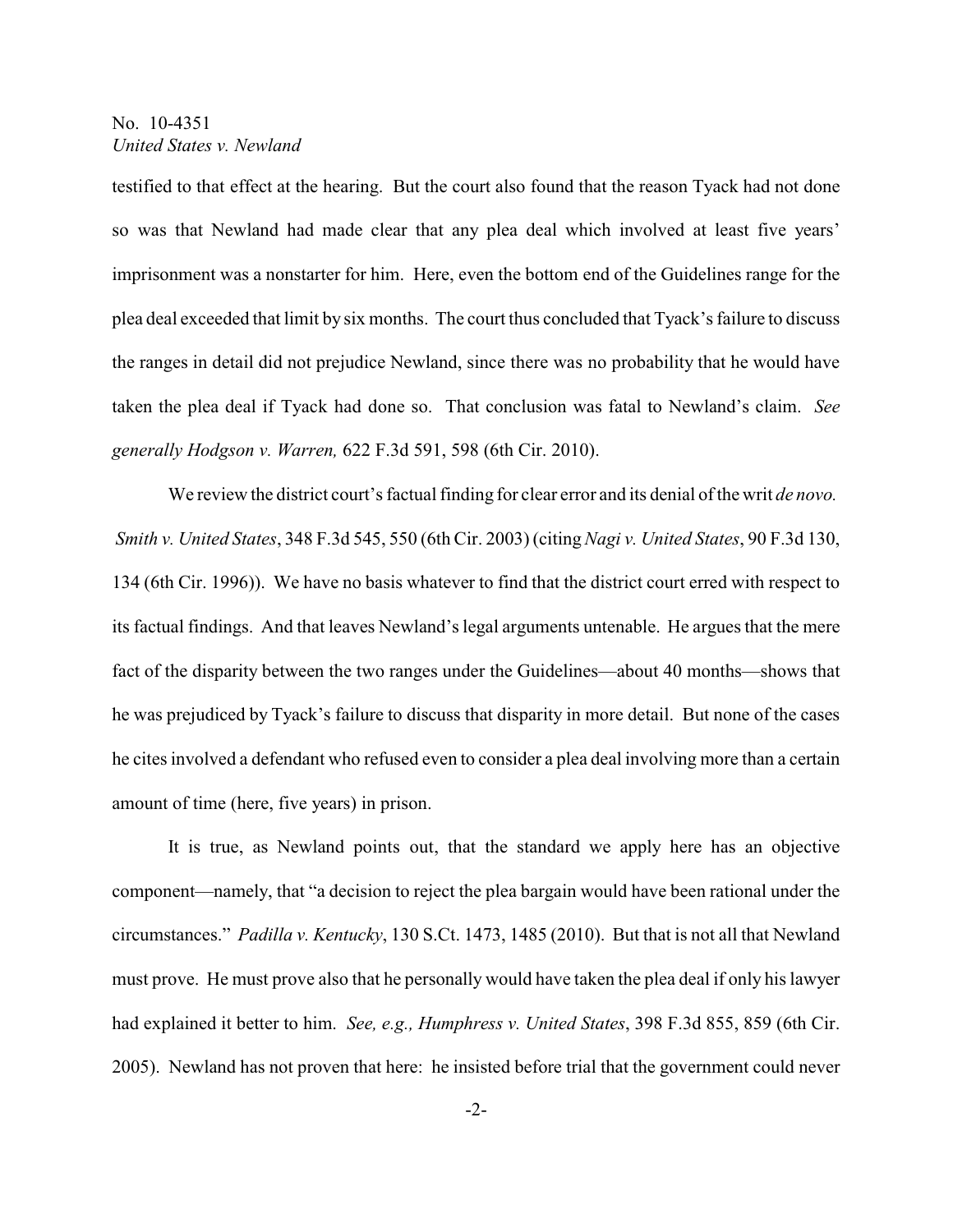## No. 10-4351 *United States v. Newland*

testified to that effect at the hearing. But the court also found that the reason Tyack had not done so was that Newland had made clear that any plea deal which involved at least five years' imprisonment was a nonstarter for him. Here, even the bottom end of the Guidelines range for the plea deal exceeded that limit by six months. The court thus concluded that Tyack's failure to discuss the ranges in detail did not prejudice Newland, since there was no probability that he would have taken the plea deal if Tyack had done so. That conclusion was fatal to Newland's claim. *See generally Hodgson v. Warren,* 622 F.3d 591, 598 (6th Cir. 2010).

We review the district court's factual finding for clear error and its denial of the writ *de novo. Smith v. United States*, 348 F.3d 545, 550 (6th Cir. 2003) (citing*Nagi v. United States*, 90 F.3d 130, 134 (6th Cir. 1996)). We have no basis whatever to find that the district court erred with respect to its factual findings. And that leaves Newland's legal arguments untenable. He argues that the mere fact of the disparity between the two ranges under the Guidelines—about 40 months—shows that he was prejudiced by Tyack's failure to discuss that disparity in more detail. But none of the cases he cites involved a defendant who refused even to consider a plea deal involving more than a certain amount of time (here, five years) in prison.

It is true, as Newland points out, that the standard we apply here has an objective component—namely, that "a decision to reject the plea bargain would have been rational under the circumstances." *Padilla v. Kentucky*, 130 S.Ct. 1473, 1485 (2010). But that is not all that Newland must prove. He must prove also that he personally would have taken the plea deal if only his lawyer had explained it better to him. *See, e.g., Humphress v. United States*, 398 F.3d 855, 859 (6th Cir. 2005). Newland has not proven that here: he insisted before trial that the government could never